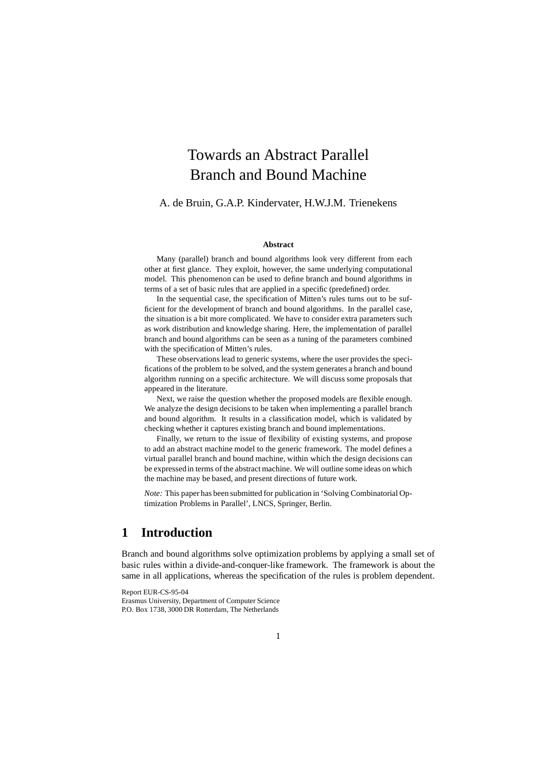# Towards an Abstract Parallel Branch and Bound Machine

### A. de Bruin, G.A.P. Kindervater, H.W.J.M. Trienekens

#### **Abstract**

Many (parallel) branch and bound algorithms look very different from each other at first glance. They exploit, however, the same underlying computational model. This phenomenon can be used to define branch and bound algorithms in terms of a set of basic rules that are applied in a specific (predefined) order.

In the sequential case, the specification of Mitten's rules turns out to be sufficient for the development of branch and bound algorithms. In the parallel case, the situation is a bit more complicated. We have to consider extra parameters such as work distribution and knowledge sharing. Here, the implementation of parallel branch and bound algorithms can be seen as a tuning of the parameters combined with the specification of Mitten's rules.

These observations lead to generic systems, where the user provides the specifications of the problem to be solved, and the system generates a branch and bound algorithm running on a specific architecture. We will discuss some proposals that appeared in the literature.

Next, we raise the question whether the proposed models are flexible enough. We analyze the design decisions to be taken when implementing a parallel branch and bound algorithm. It results in a classification model, which is validated by checking whether it captures existing branch and bound implementations.

Finally, we return to the issue of flexibility of existing systems, and propose to add an abstract machine model to the generic framework. The model defines a virtual parallel branch and bound machine, within which the design decisions can be expressedin terms of the abstract machine. We will outline some ideas on which the machine may be based, and present directions of future work.

*Note:* This paper has been submitted for publication in 'Solving Combinatorial Optimization Problems in Parallel', LNCS, Springer, Berlin.

# **1 Introduction**

Branch and bound algorithms solve optimization problems by applying a small set of basic rules within a divide-and-conquer-like framework. The framework is about the same in all applications, whereas the specification of the rules is problem dependent.

Report EUR-CS-95-04

Erasmus University, Department of Computer Science

P.O. Box 1738, 3000 DR Rotterdam, The Netherlands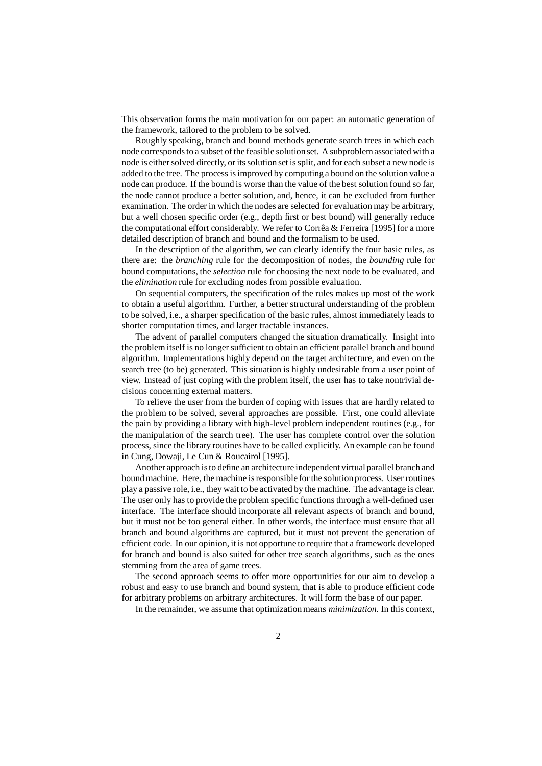This observation forms the main motivation for our paper: an automatic generation of the framework, tailored to the problem to be solved.

Roughly speaking, branch and bound methods generate search trees in which each node corresponds to a subset of the feasible solutionset. A subproblem associated with a node is either solved directly, or its solution set is split, and for each subset a new node is added to the tree. The process is improved by computing a bound on the solution value a node can produce. If the bound is worse than the value of the best solution found so far, the node cannot produce a better solution, and, hence, it can be excluded from further examination. The order in which the nodes are selected for evaluation may be arbitrary, but a well chosen specific order (e.g., depth first or best bound) will generally reduce the computational effort considerably. We refer to Corrêa  $\&$  Ferreira [1995] for a more detailed description of branch and bound and the formalism to be used.

In the description of the algorithm, we can clearly identify the four basic rules, as there are: the *branching* rule for the decomposition of nodes, the *bounding* rule for bound computations, the *selection* rule for choosing the next node to be evaluated, and the *elimination* rule for excluding nodes from possible evaluation.

On sequential computers, the specification of the rules makes up most of the work to obtain a useful algorithm. Further, a better structural understanding of the problem to be solved, i.e., a sharper specification of the basic rules, almost immediately leads to shorter computation times, and larger tractable instances.

The advent of parallel computers changed the situation dramatically. Insight into the problem itself is no longer sufficient to obtain an efficient parallel branch and bound algorithm. Implementations highly depend on the target architecture, and even on the search tree (to be) generated. This situation is highly undesirable from a user point of view. Instead of just coping with the problem itself, the user has to take nontrivial decisions concerning external matters.

To relieve the user from the burden of coping with issues that are hardly related to the problem to be solved, several approaches are possible. First, one could alleviate the pain by providing a library with high-level problem independent routines (e.g., for the manipulation of the search tree). The user has complete control over the solution process, since the library routines have to be called explicitly. An example can be found in Cung, Dowaji, Le Cun & Roucairol [1995].

Another approach is to define an architecture independent virtual parallel branch and bound machine. Here, the machine is responsible for the solutionprocess. User routines play a passive role, i.e., they wait to be activated by the machine. The advantage is clear. The user only has to provide the problem specific functions through a well-defined user interface. The interface should incorporate all relevant aspects of branch and bound, but it must not be too general either. In other words, the interface must ensure that all branch and bound algorithms are captured, but it must not prevent the generation of efficient code. In our opinion, it is not opportune to require that a framework developed for branch and bound is also suited for other tree search algorithms, such as the ones stemming from the area of game trees.

The second approach seems to offer more opportunities for our aim to develop a robust and easy to use branch and bound system, that is able to produce efficient code for arbitrary problems on arbitrary architectures. It will form the base of our paper.

In the remainder, we assume that optimization means *minimization*. In this context,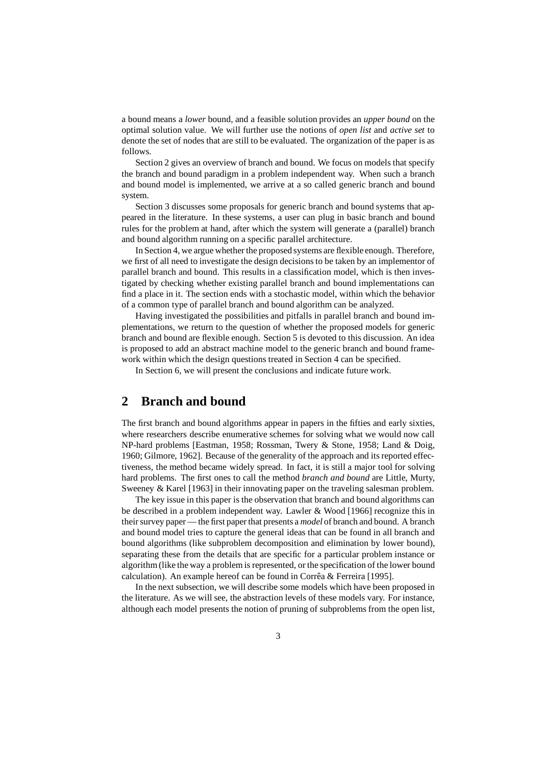a bound means a *lower* bound, and a feasible solution provides an *upper bound* on the optimal solution value. We will further use the notions of *open list* and *active set* to denote the set of nodes that are still to be evaluated. The organization of the paper is as follows.

Section 2 gives an overview of branch and bound. We focus on models that specify the branch and bound paradigm in a problem independent way. When such a branch and bound model is implemented, we arrive at a so called generic branch and bound system.

Section 3 discusses some proposals for generic branch and bound systems that appeared in the literature. In these systems, a user can plug in basic branch and bound rules for the problem at hand, after which the system will generate a (parallel) branch and bound algorithm running on a specific parallel architecture.

In Section 4, we argue whether the proposed systems are flexible enough. Therefore, we first of all need to investigate the design decisions to be taken by an implementor of parallel branch and bound. This results in a classification model, which is then investigated by checking whether existing parallel branch and bound implementations can find a place in it. The section ends with a stochastic model, within which the behavior of a common type of parallel branch and bound algorithm can be analyzed.

Having investigated the possibilities and pitfalls in parallel branch and bound implementations, we return to the question of whether the proposed models for generic branch and bound are flexible enough. Section 5 is devoted to this discussion. An idea is proposed to add an abstract machine model to the generic branch and bound framework within which the design questions treated in Section 4 can be specified.

In Section 6, we will present the conclusions and indicate future work.

## **2 Branch and bound**

The first branch and bound algorithms appear in papers in the fifties and early sixties, where researchers describe enumerative schemes for solving what we would now call NP-hard problems [Eastman, 1958; Rossman, Twery & Stone, 1958; Land & Doig, 1960; Gilmore, 1962]. Because of the generality of the approach and its reported effectiveness, the method became widely spread. In fact, it is still a major tool for solving hard problems. The first ones to call the method *branch and bound* are Little, Murty, Sweeney & Karel [1963] in their innovating paper on the traveling salesman problem.

The key issue in this paper is the observation that branch and bound algorithms can be described in a problem independent way. Lawler & Wood [1966] recognize this in their survey paper — the first paper that presents a *model* of branch and bound. A branch and bound model tries to capture the general ideas that can be found in all branch and bound algorithms (like subproblem decomposition and elimination by lower bound), separating these from the details that are specific for a particular problem instance or algorithm (like the way a problem is represented, or the specification of the lower bound calculation). An example hereof can be found in Corrêa  $&$  Ferreira [1995].

In the next subsection, we will describe some models which have been proposed in the literature. As we will see, the abstraction levels of these models vary. For instance, although each model presents the notion of pruning of subproblems from the open list,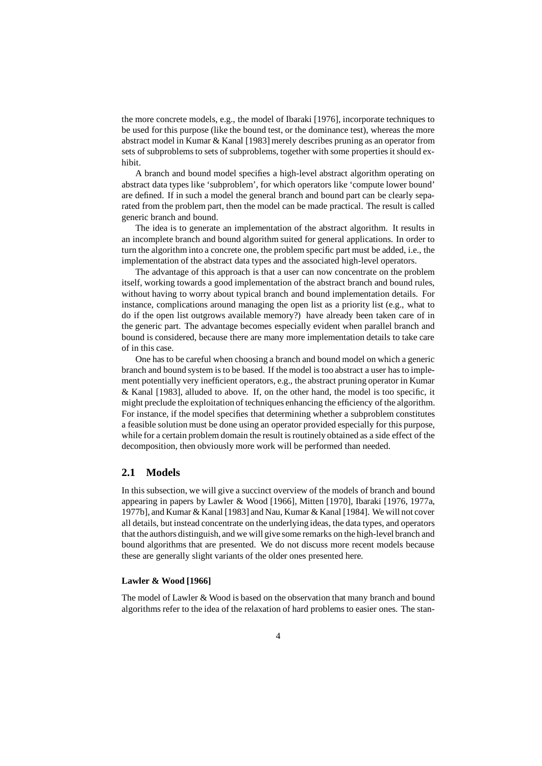the more concrete models, e.g., the model of Ibaraki [1976], incorporate techniques to be used for this purpose (like the bound test, or the dominance test), whereas the more abstract model in Kumar & Kanal [1983] merely describes pruning as an operator from sets of subproblems to sets of subproblems, together with some properties it should exhibit.

A branch and bound model specifies a high-level abstract algorithm operating on abstract data types like 'subproblem', for which operators like 'compute lower bound' are defined. If in such a model the general branch and bound part can be clearly separated from the problem part, then the model can be made practical. The result is called generic branch and bound.

The idea is to generate an implementation of the abstract algorithm. It results in an incomplete branch and bound algorithm suited for general applications. In order to turn the algorithm into a concrete one, the problem specific part must be added, i.e., the implementation of the abstract data types and the associated high-level operators.

The advantage of this approach is that a user can now concentrate on the problem itself, working towards a good implementation of the abstract branch and bound rules, without having to worry about typical branch and bound implementation details. For instance, complications around managing the open list as a priority list (e.g., what to do if the open list outgrows available memory?) have already been taken care of in the generic part. The advantage becomes especially evident when parallel branch and bound is considered, because there are many more implementation details to take care of in this case.

One has to be careful when choosing a branch and bound model on which a generic branch and bound system is to be based. If the model is too abstract a user has to implement potentially very inefficient operators, e.g., the abstract pruning operator in Kumar & Kanal [1983], alluded to above. If, on the other hand, the model is too specific, it might preclude the exploitation of techniques enhancing the efficiency of the algorithm. For instance, if the model specifies that determining whether a subproblem constitutes a feasible solution must be done using an operator provided especially for this purpose, while for a certain problem domain the result is routinely obtained as a side effect of the decomposition, then obviously more work will be performed than needed.

#### **2.1 Models**

In this subsection, we will give a succinct overview of the models of branch and bound appearing in papers by Lawler & Wood [1966], Mitten [1970], Ibaraki [1976, 1977a, 1977b], and Kumar & Kanal [1983] and Nau, Kumar & Kanal [1984]. We will not cover all details, but instead concentrate on the underlying ideas, the data types, and operators that the authors distinguish, and we will give some remarks on the high-level branch and bound algorithms that are presented. We do not discuss more recent models because these are generally slight variants of the older ones presented here.

#### **Lawler & Wood [1966]**

The model of Lawler & Wood is based on the observation that many branch and bound algorithms refer to the idea of the relaxation of hard problems to easier ones. The stan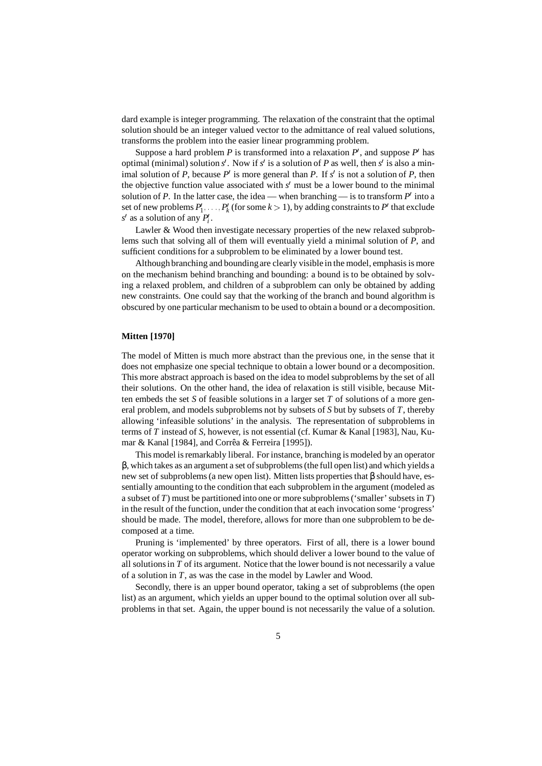dard example is integer programming. The relaxation of the constraint that the optimal solution should be an integer valued vector to the admittance of real valued solutions, transforms the problem into the easier linear programming problem.

Suppose a hard problem *P* is transformed into a relaxation  $P'$ , and suppose  $P'$  has optimal (minimal) solution  $s'$ . Now if  $s'$  is a solution of *P* as well, then  $s'$  is also a minimal solution of *P*, because  $P^{\prime}$  is more general than *P*. If  $s^{\prime}$  is not a solution of *P*, then the objective function value associated with  $s<sup>1</sup>$  must be a lower bound to the minimal solution of *P*. In the latter case, the idea — when branching — is to transform  $P'$  into a set of new problems  $P'_1, \ldots, P'_k$  (for some  $k > 1$ ), by adding constraints to  $P'$  that exclude  $s'$  as a solution of any  $P_i'$ .

Lawler & Wood then investigate necessary properties of the new relaxed subproblems such that solving all of them will eventually yield a minimal solution of *P*, and sufficient conditions for a subproblem to be eliminated by a lower bound test.

Although branching and bounding are clearly visible in the model, emphasis is more on the mechanism behind branching and bounding: a bound is to be obtained by solving a relaxed problem, and children of a subproblem can only be obtained by adding new constraints. One could say that the working of the branch and bound algorithm is obscured by one particular mechanism to be used to obtain a bound or a decomposition.

#### **Mitten [1970]**

The model of Mitten is much more abstract than the previous one, in the sense that it does not emphasize one special technique to obtain a lower bound or a decomposition. This more abstract approach is based on the idea to model subproblems by the set of all their solutions. On the other hand, the idea of relaxation is still visible, because Mitten embeds the set *S* of feasible solutions in a larger set *T* of solutions of a more general problem, and models subproblems not by subsets of *S* but by subsets of *T*, thereby allowing 'infeasible solutions' in the analysis. The representation of subproblems in terms of *T* instead of *S*, however, is not essential (cf. Kumar & Kanal [1983], Nau, Kumar & Kanal [1984], and Corrêa & Ferreira [1995]).

This model is remarkably liberal. For instance, branching is modeled by an operator β, which takes as an argument a set of subproblems (the full open list) and which yields a new set of subproblems (a new open list). Mitten lists properties that β should have, essentially amounting to the condition that each subproblem in the argument (modeled as a subset of *T*) must be partitioned into one or more subproblems ('smaller' subsets in *T*) in the result of the function, under the condition that at each invocation some 'progress' should be made. The model, therefore, allows for more than one subproblem to be decomposed at a time.

Pruning is 'implemented' by three operators. First of all, there is a lower bound operator working on subproblems, which should deliver a lower bound to the value of all solutions in *T* of its argument. Notice that the lower bound is not necessarily a value of a solution in *T*, as was the case in the model by Lawler and Wood.

Secondly, there is an upper bound operator, taking a set of subproblems (the open list) as an argument, which yields an upper bound to the optimal solution over all subproblems in that set. Again, the upper bound is not necessarily the value of a solution.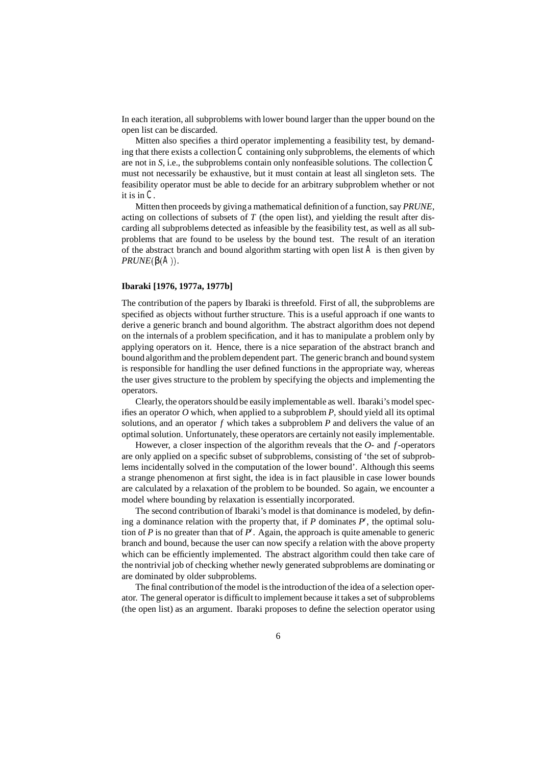In each iteration, all subproblems with lower bound larger than the upper bound on the open list can be discarded.

Mitten also specifies a third operator implementing a feasibility test, by demanding that there exists a collection  $C$  containing only subproblems, the elements of which are not in *S*, i.e., the subproblems contain only nonfeasible solutions. The collection *C* must not necessarily be exhaustive, but it must contain at least all singleton sets. The feasibility operator must be able to decide for an arbitrary subproblem whether or not it is in *C*.

Mitten then proceeds by givinga mathematical definition of a function, say *PRUNE*, acting on collections of subsets of *T* (the open list), and yielding the result after discarding all subproblems detected as infeasible by the feasibility test, as well as all subproblems that are found to be useless by the bound test. The result of an iteration of the abstract branch and bound algorithm starting with open list *A* is then given by  $PRUNE(\beta(A)).$ 

#### **Ibaraki [1976, 1977a, 1977b]**

The contribution of the papers by Ibaraki is threefold. First of all, the subproblems are specified as objects without further structure. This is a useful approach if one wants to derive a generic branch and bound algorithm. The abstract algorithm does not depend on the internals of a problem specification, and it has to manipulate a problem only by applying operators on it. Hence, there is a nice separation of the abstract branch and bound algorithm and the problem dependent part. The generic branch and bound system is responsible for handling the user defined functions in the appropriate way, whereas the user gives structure to the problem by specifying the objects and implementing the operators.

Clearly, the operators should be easily implementable as well. Ibaraki's model specifies an operator *O* which, when applied to a subproblem *P*, should yield all its optimal solutions, and an operator *f* which takes a subproblem *P* and delivers the value of an optimal solution. Unfortunately, these operators are certainly not easily implementable.

However, a closer inspection of the algorithm reveals that the *O*- and *f*-operators are only applied on a specific subset of subproblems, consisting of 'the set of subproblems incidentally solved in the computation of the lower bound'. Although this seems a strange phenomenon at first sight, the idea is in fact plausible in case lower bounds are calculated by a relaxation of the problem to be bounded. So again, we encounter a model where bounding by relaxation is essentially incorporated.

The second contribution of Ibaraki's model is that dominance is modeled, by defining a dominance relation with the property that, if  $P$  dominates  $P'$ , the optimal solution of  $P$  is no greater than that of  $P'$ . Again, the approach is quite amenable to generic branch and bound, because the user can now specify a relation with the above property which can be efficiently implemented. The abstract algorithm could then take care of the nontrivial job of checking whether newly generated subproblems are dominating or are dominated by older subproblems.

The final contribution of the model is the introduction of the idea of a selection operator. The general operator is difficult to implement because it takes a set of subproblems (the open list) as an argument. Ibaraki proposes to define the selection operator using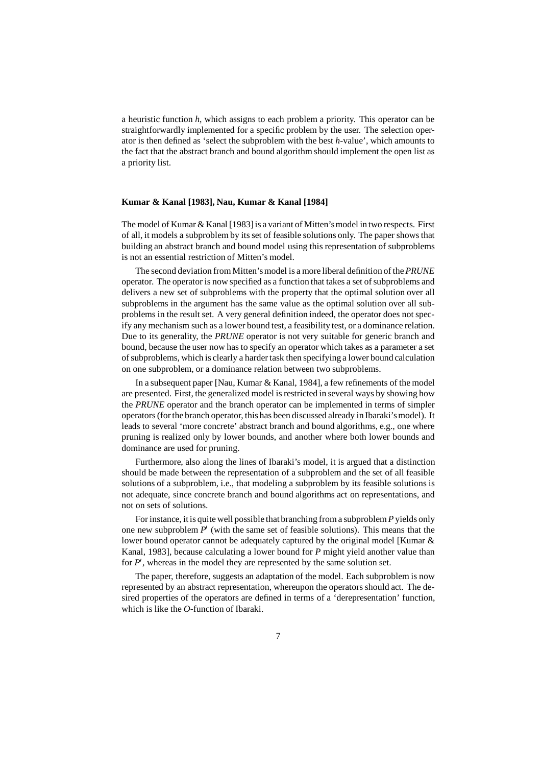a heuristic function *h*, which assigns to each problem a priority. This operator can be straightforwardly implemented for a specific problem by the user. The selection operator is then defined as 'select the subproblem with the best *h*-value', which amounts to the fact that the abstract branch and bound algorithm should implement the open list as a priority list.

#### **Kumar & Kanal [1983], Nau, Kumar & Kanal [1984]**

The model of Kumar & Kanal [1983] is a variant of Mitten'smodel in two respects. First of all, it models a subproblem by its set of feasible solutions only. The paper shows that building an abstract branch and bound model using this representation of subproblems is not an essential restriction of Mitten's model.

The second deviation from Mitten's model is a more liberal definition of the *PRUNE* operator. The operator is now specified as a function that takes a set of subproblems and delivers a new set of subproblems with the property that the optimal solution over all subproblems in the argument has the same value as the optimal solution over all subproblems in the result set. A very general definition indeed, the operator does not specify any mechanism such as a lower bound test, a feasibility test, or a dominance relation. Due to its generality, the *PRUNE* operator is not very suitable for generic branch and bound, because the user now has to specify an operator which takes as a parameter a set of subproblems, which is clearly a harder task then specifying a lower bound calculation on one subproblem, or a dominance relation between two subproblems.

In a subsequent paper [Nau, Kumar & Kanal, 1984], a few refinements of the model are presented. First, the generalized model is restricted in several ways by showing how the *PRUNE* operator and the branch operator can be implemented in terms of simpler operators (for the branch operator, this has been discussed already in Ibaraki's model). It leads to several 'more concrete' abstract branch and bound algorithms, e.g., one where pruning is realized only by lower bounds, and another where both lower bounds and dominance are used for pruning.

Furthermore, also along the lines of Ibaraki's model, it is argued that a distinction should be made between the representation of a subproblem and the set of all feasible solutions of a subproblem, i.e., that modeling a subproblem by its feasible solutions is not adequate, since concrete branch and bound algorithms act on representations, and not on sets of solutions.

For instance, it is quite well possible that branching from a subproblem*P* yields only one new subproblem  $P'$  (with the same set of feasible solutions). This means that the lower bound operator cannot be adequately captured by the original model [Kumar & Kanal, 1983], because calculating a lower bound for *P* might yield another value than for  $P'$ , whereas in the model they are represented by the same solution set.

The paper, therefore, suggests an adaptation of the model. Each subproblem is now represented by an abstract representation, whereupon the operators should act. The desired properties of the operators are defined in terms of a 'derepresentation' function, which is like the *O*-function of Ibaraki.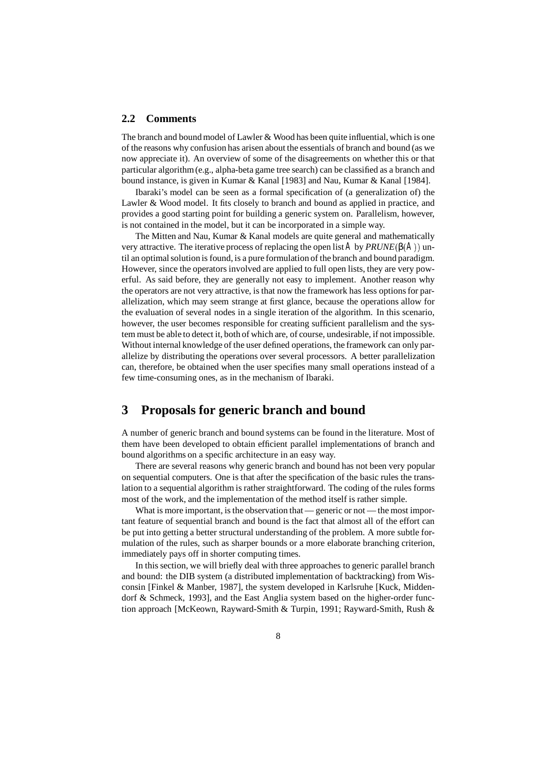#### **2.2 Comments**

The branch and bound model of Lawler & Wood has been quite influential, which is one of the reasons why confusion has arisen about the essentials of branch and bound (as we now appreciate it). An overview of some of the disagreements on whether this or that particular algorithm (e.g., alpha-beta game tree search) can be classified as a branch and bound instance, is given in Kumar & Kanal [1983] and Nau, Kumar & Kanal [1984].

Ibaraki's model can be seen as a formal specification of (a generalization of) the Lawler & Wood model. It fits closely to branch and bound as applied in practice, and provides a good starting point for building a generic system on. Parallelism, however, is not contained in the model, but it can be incorporated in a simple way.

The Mitten and Nau, Kumar & Kanal models are quite general and mathematically very attractive. The iterative process of replacing the open list *A* by  $PRUNE(\beta(A))$  until an optimal solution is found, is a pure formulation of the branch and bound paradigm. However, since the operators involved are applied to full open lists, they are very powerful. As said before, they are generally not easy to implement. Another reason why the operators are not very attractive, is that now the framework has less options for parallelization, which may seem strange at first glance, because the operations allow for the evaluation of several nodes in a single iteration of the algorithm. In this scenario, however, the user becomes responsible for creating sufficient parallelism and the system must be able to detect it, both of which are, of course, undesirable, if not impossible. Without internal knowledge of the user defined operations, the framework can only parallelize by distributing the operations over several processors. A better parallelization can, therefore, be obtained when the user specifies many small operations instead of a few time-consuming ones, as in the mechanism of Ibaraki.

# **3 Proposals for generic branch and bound**

A number of generic branch and bound systems can be found in the literature. Most of them have been developed to obtain efficient parallel implementations of branch and bound algorithms on a specific architecture in an easy way.

There are several reasons why generic branch and bound has not been very popular on sequential computers. One is that after the specification of the basic rules the translation to a sequential algorithm is rather straightforward. The coding of the rules forms most of the work, and the implementation of the method itself is rather simple.

What is more important, is the observation that — generic or not — the most important feature of sequential branch and bound is the fact that almost all of the effort can be put into getting a better structural understanding of the problem. A more subtle formulation of the rules, such as sharper bounds or a more elaborate branching criterion, immediately pays off in shorter computing times.

In this section, we will briefly deal with three approaches to generic parallel branch and bound: the DIB system (a distributed implementation of backtracking) from Wisconsin [Finkel & Manber, 1987], the system developed in Karlsruhe [Kuck, Middendorf & Schmeck, 1993], and the East Anglia system based on the higher-order function approach [McKeown, Rayward-Smith & Turpin, 1991; Rayward-Smith, Rush &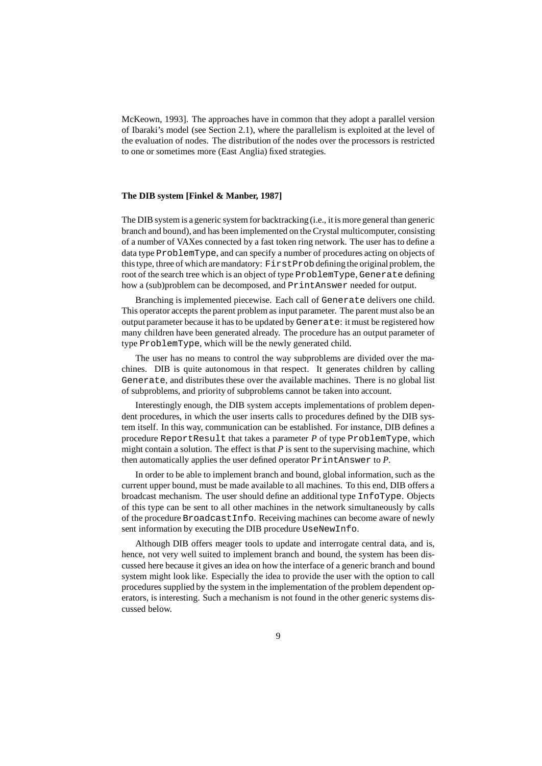McKeown, 1993]. The approaches have in common that they adopt a parallel version of Ibaraki's model (see Section 2.1), where the parallelism is exploited at the level of the evaluation of nodes. The distribution of the nodes over the processors is restricted to one or sometimes more (East Anglia) fixed strategies.

#### **The DIB system [Finkel & Manber, 1987]**

The DIB system is a generic system for backtracking (i.e., it is more general than generic branch and bound), and has been implemented on the Crystal multicomputer, consisting of a number of VAXes connected by a fast token ring network. The user has to define a data type ProblemType, and can specify a number of procedures acting on objects of this type, three of which are mandatory: FirstProbdefining the original problem, the root of the search tree which is an object of type ProblemType, Generate defining how a (sub)problem can be decomposed, and PrintAnswer needed for output.

Branching is implemented piecewise. Each call of Generate delivers one child. This operator accepts the parent problem as input parameter. The parent must also be an output parameter because it has to be updated by Generate: it must be registered how many children have been generated already. The procedure has an output parameter of type ProblemType, which will be the newly generated child.

The user has no means to control the way subproblems are divided over the machines. DIB is quite autonomous in that respect. It generates children by calling Generate, and distributes these over the available machines. There is no global list of subproblems, and priority of subproblems cannot be taken into account.

Interestingly enough, the DIB system accepts implementations of problem dependent procedures, in which the user inserts calls to procedures defined by the DIB system itself. In this way, communication can be established. For instance, DIB defines a procedure ReportResult that takes a parameter *P* of type ProblemType, which might contain a solution. The effect is that *P* is sent to the supervising machine, which then automatically applies the user defined operator PrintAnswer to *P*.

In order to be able to implement branch and bound, global information, such as the current upper bound, must be made available to all machines. To this end, DIB offers a broadcast mechanism. The user should define an additional type InfoType. Objects of this type can be sent to all other machines in the network simultaneously by calls of the procedure BroadcastInfo. Receiving machines can become aware of newly sent information by executing the DIB procedure UseNewInfo.

Although DIB offers meager tools to update and interrogate central data, and is, hence, not very well suited to implement branch and bound, the system has been discussed here because it gives an idea on how the interface of a generic branch and bound system might look like. Especially the idea to provide the user with the option to call procedures supplied by the system in the implementation of the problem dependent operators, is interesting. Such a mechanism is not found in the other generic systems discussed below.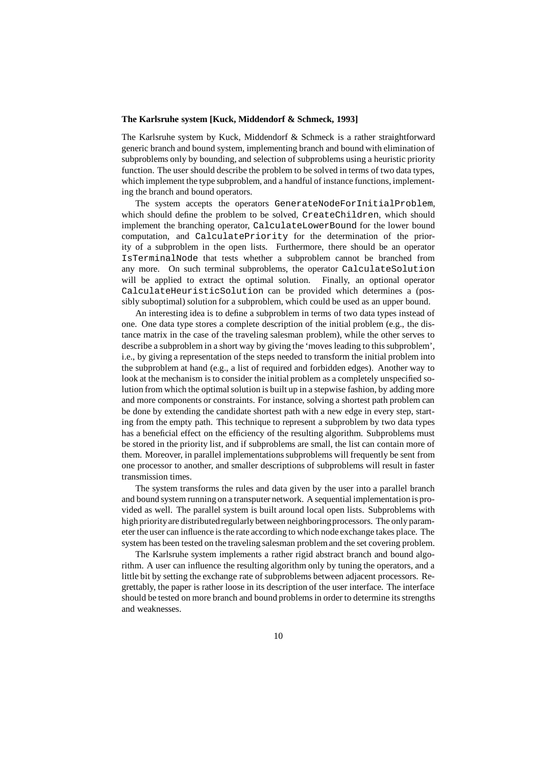#### **The Karlsruhe system [Kuck, Middendorf & Schmeck, 1993]**

The Karlsruhe system by Kuck, Middendorf & Schmeck is a rather straightforward generic branch and bound system, implementing branch and bound with elimination of subproblems only by bounding, and selection of subproblems using a heuristic priority function. The user should describe the problem to be solved in terms of two data types, which implement the type subproblem, and a handful of instance functions, implementing the branch and bound operators.

The system accepts the operators GenerateNodeForInitialProblem, which should define the problem to be solved, CreateChildren, which should implement the branching operator, CalculateLowerBound for the lower bound computation, and CalculatePriority for the determination of the priority of a subproblem in the open lists. Furthermore, there should be an operator IsTerminalNode that tests whether a subproblem cannot be branched from any more. On such terminal subproblems, the operator CalculateSolution will be applied to extract the optimal solution. Finally, an optional operator CalculateHeuristicSolution can be provided which determines a (possibly suboptimal) solution for a subproblem, which could be used as an upper bound.

An interesting idea is to define a subproblem in terms of two data types instead of one. One data type stores a complete description of the initial problem (e.g., the distance matrix in the case of the traveling salesman problem), while the other serves to describe a subproblem in a short way by giving the 'moves leading to this subproblem', i.e., by giving a representation of the steps needed to transform the initial problem into the subproblem at hand (e.g., a list of required and forbidden edges). Another way to look at the mechanism is to consider the initial problem as a completely unspecified solution from which the optimal solution is built up in a stepwise fashion, by adding more and more components or constraints. For instance, solving a shortest path problem can be done by extending the candidate shortest path with a new edge in every step, starting from the empty path. This technique to represent a subproblem by two data types has a beneficial effect on the efficiency of the resulting algorithm. Subproblems must be stored in the priority list, and if subproblems are small, the list can contain more of them. Moreover, in parallel implementations subproblems will frequently be sent from one processor to another, and smaller descriptions of subproblems will result in faster transmission times.

The system transforms the rules and data given by the user into a parallel branch and bound system running on a transputer network. A sequential implementation is provided as well. The parallel system is built around local open lists. Subproblems with high priority are distributed regularly between neighboring processors. The only parameter the user can influence is the rate according to which node exchange takes place. The system has been tested on the traveling salesman problem and the set covering problem.

The Karlsruhe system implements a rather rigid abstract branch and bound algorithm. A user can influence the resulting algorithm only by tuning the operators, and a little bit by setting the exchange rate of subproblems between adjacent processors. Regrettably, the paper is rather loose in its description of the user interface. The interface should be tested on more branch and bound problems in order to determine its strengths and weaknesses.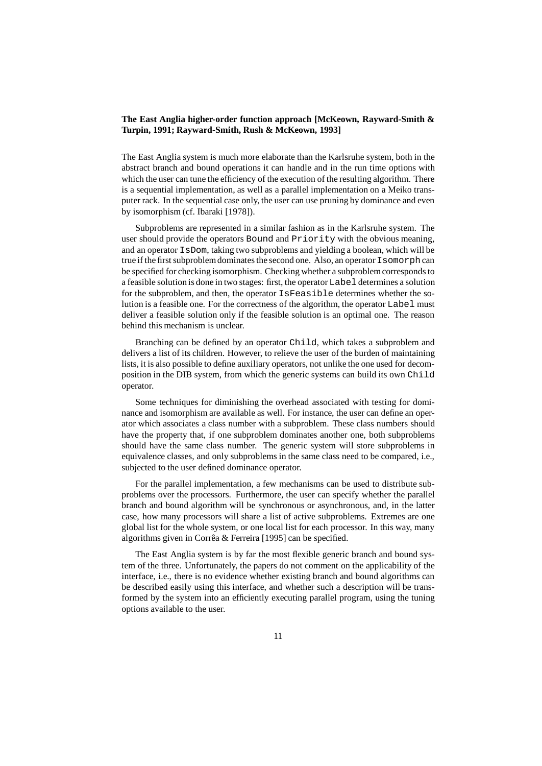#### **The East Anglia higher-order function approach [McKeown, Rayward-Smith & Turpin, 1991; Rayward-Smith, Rush & McKeown, 1993]**

The East Anglia system is much more elaborate than the Karlsruhe system, both in the abstract branch and bound operations it can handle and in the run time options with which the user can tune the efficiency of the execution of the resulting algorithm. There is a sequential implementation, as well as a parallel implementation on a Meiko transputer rack. In the sequential case only, the user can use pruning by dominance and even by isomorphism (cf. Ibaraki [1978]).

Subproblems are represented in a similar fashion as in the Karlsruhe system. The user should provide the operators Bound and Priority with the obvious meaning, and an operator IsDom, taking two subproblems and yielding a boolean, which will be true if the first subproblem dominates the second one. Also, an operator Isomorph can be specified for checking isomorphism. Checking whether a subproblem corresponds to a feasible solution is done in two stages: first, the operator Label determines a solution for the subproblem, and then, the operator IsFeasible determines whether the solution is a feasible one. For the correctness of the algorithm, the operator Label must deliver a feasible solution only if the feasible solution is an optimal one. The reason behind this mechanism is unclear.

Branching can be defined by an operator Child, which takes a subproblem and delivers a list of its children. However, to relieve the user of the burden of maintaining lists, it is also possible to define auxiliary operators, not unlike the one used for decomposition in the DIB system, from which the generic systems can build its own Child operator.

Some techniques for diminishing the overhead associated with testing for dominance and isomorphism are available as well. For instance, the user can define an operator which associates a class number with a subproblem. These class numbers should have the property that, if one subproblem dominates another one, both subproblems should have the same class number. The generic system will store subproblems in equivalence classes, and only subproblems in the same class need to be compared, i.e., subjected to the user defined dominance operator.

For the parallel implementation, a few mechanisms can be used to distribute subproblems over the processors. Furthermore, the user can specify whether the parallel branch and bound algorithm will be synchronous or asynchronous, and, in the latter case, how many processors will share a list of active subproblems. Extremes are one global list for the whole system, or one local list for each processor. In this way, many algorithms given in Corrêa & Ferreira [1995] can be specified.

The East Anglia system is by far the most flexible generic branch and bound system of the three. Unfortunately, the papers do not comment on the applicability of the interface, i.e., there is no evidence whether existing branch and bound algorithms can be described easily using this interface, and whether such a description will be transformed by the system into an efficiently executing parallel program, using the tuning options available to the user.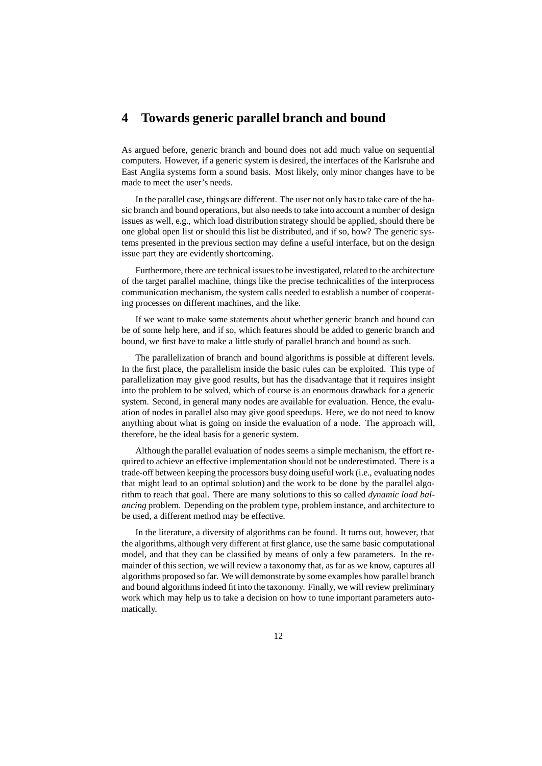### **4 Towards generic parallel branch and bound**

As argued before, generic branch and bound does not add much value on sequential computers. However, if a generic system is desired, the interfaces of the Karlsruhe and East Anglia systems form a sound basis. Most likely, only minor changes have to be made to meet the user's needs.

In the parallel case, things are different. The user not only has to take care of the basic branch and bound operations, but also needs to take into account a number of design issues as well, e.g., which load distribution strategy should be applied, should there be one global open list or should this list be distributed, and if so, how? The generic systems presented in the previous section may define a useful interface, but on the design issue part they are evidently shortcoming.

Furthermore, there are technical issues to be investigated, related to the architecture of the target parallel machine, things like the precise technicalities of the interprocess communication mechanism, the system calls needed to establish a number of cooperating processes on different machines, and the like.

If we want to make some statements about whether generic branch and bound can be of some help here, and if so, which features should be added to generic branch and bound, we first have to make a little study of parallel branch and bound as such.

The parallelization of branch and bound algorithms is possible at different levels. In the first place, the parallelism inside the basic rules can be exploited. This type of parallelization may give good results, but has the disadvantage that it requires insight into the problem to be solved, which of course is an enormous drawback for a generic system. Second, in general many nodes are available for evaluation. Hence, the evaluation of nodes in parallel also may give good speedups. Here, we do not need to know anything about what is going on inside the evaluation of a node. The approach will, therefore, be the ideal basis for a generic system.

Although the parallel evaluation of nodes seems a simple mechanism, the effort required to achieve an effective implementation should not be underestimated. There is a trade-off between keeping the processors busy doing useful work (i.e., evaluating nodes that might lead to an optimal solution) and the work to be done by the parallel algorithm to reach that goal. There are many solutions to this so called *dynamic load balancing* problem. Depending on the problem type, problem instance, and architecture to be used, a different method may be effective.

In the literature, a diversity of algorithms can be found. It turns out, however, that the algorithms, although very different at first glance, use the same basic computational model, and that they can be classified by means of only a few parameters. In the remainder of this section, we will review a taxonomy that, as far as we know, captures all algorithms proposed so far. We will demonstrate by some examples how parallel branch and bound algorithms indeed fit into the taxonomy. Finally, we will review preliminary work which may help us to take a decision on how to tune important parameters automatically.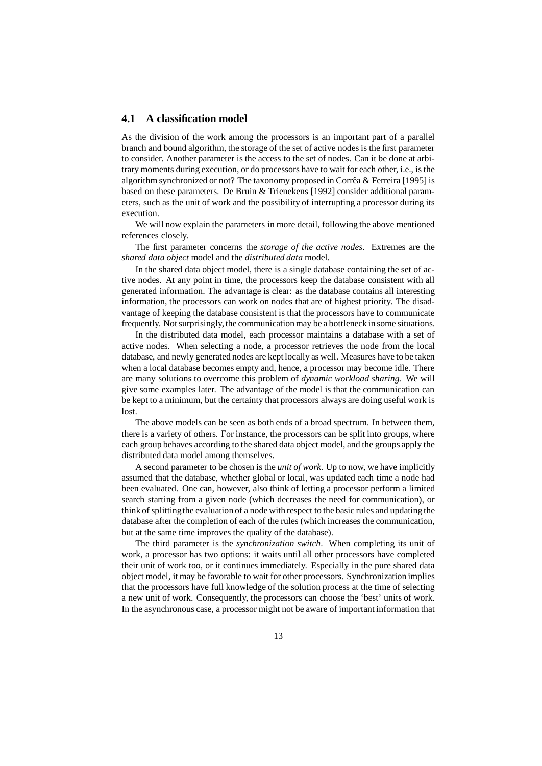### **4.1 A classification model**

As the division of the work among the processors is an important part of a parallel branch and bound algorithm, the storage of the set of active nodes is the first parameter to consider. Another parameter is the access to the set of nodes. Can it be done at arbitrary moments during execution, or do processors have to wait for each other, i.e., is the algorithm synchronized or not? The taxonomy proposed in Corrêa & Ferreira [1995] is based on these parameters. De Bruin & Trienekens [1992] consider additional parameters, such as the unit of work and the possibility of interrupting a processor during its execution.

We will now explain the parameters in more detail, following the above mentioned references closely.

The first parameter concerns the *storage of the active nodes*. Extremes are the *shared data object* model and the *distributed data* model.

In the shared data object model, there is a single database containing the set of active nodes. At any point in time, the processors keep the database consistent with all generated information. The advantage is clear: as the database contains all interesting information, the processors can work on nodes that are of highest priority. The disadvantage of keeping the database consistent is that the processors have to communicate frequently. Not surprisingly, the communication may be a bottleneck in some situations.

In the distributed data model, each processor maintains a database with a set of active nodes. When selecting a node, a processor retrieves the node from the local database, and newly generated nodes are kept locally as well. Measures have to be taken when a local database becomes empty and, hence, a processor may become idle. There are many solutions to overcome this problem of *dynamic workload sharing*. We will give some examples later. The advantage of the model is that the communication can be kept to a minimum, but the certainty that processors always are doing useful work is lost.

The above models can be seen as both ends of a broad spectrum. In between them, there is a variety of others. For instance, the processors can be split into groups, where each group behaves according to the shared data object model, and the groups apply the distributed data model among themselves.

A second parameter to be chosen is the *unit of work*. Up to now, we have implicitly assumed that the database, whether global or local, was updated each time a node had been evaluated. One can, however, also think of letting a processor perform a limited search starting from a given node (which decreases the need for communication), or think of splittingthe evaluation of a node with respect to the basic rules and updating the database after the completion of each of the rules (which increases the communication, but at the same time improves the quality of the database).

The third parameter is the *synchronization switch*. When completing its unit of work, a processor has two options: it waits until all other processors have completed their unit of work too, or it continues immediately. Especially in the pure shared data object model, it may be favorable to wait for other processors. Synchronization implies that the processors have full knowledge of the solution process at the time of selecting a new unit of work. Consequently, the processors can choose the 'best' units of work. In the asynchronous case, a processor might not be aware of important information that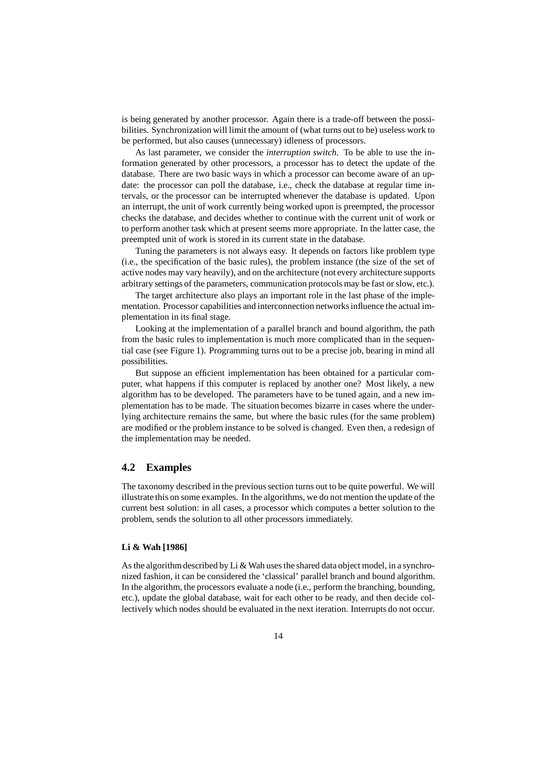is being generated by another processor. Again there is a trade-off between the possibilities. Synchronization will limit the amount of (what turns out to be) useless work to be performed, but also causes (unnecessary) idleness of processors.

As last parameter, we consider the *interruption switch*. To be able to use the information generated by other processors, a processor has to detect the update of the database. There are two basic ways in which a processor can become aware of an update: the processor can poll the database, i.e., check the database at regular time intervals, or the processor can be interrupted whenever the database is updated. Upon an interrupt, the unit of work currently being worked upon is preempted, the processor checks the database, and decides whether to continue with the current unit of work or to perform another task which at present seems more appropriate. In the latter case, the preempted unit of work is stored in its current state in the database.

Tuning the parameters is not always easy. It depends on factors like problem type (i.e., the specification of the basic rules), the problem instance (the size of the set of active nodes may vary heavily), and on the architecture (not every architecture supports arbitrary settings of the parameters, communication protocols may be fast or slow, etc.).

The target architecture also plays an important role in the last phase of the implementation. Processor capabilities and interconnection networks influence the actual implementation in its final stage.

Looking at the implementation of a parallel branch and bound algorithm, the path from the basic rules to implementation is much more complicated than in the sequential case (see Figure 1). Programming turns out to be a precise job, bearing in mind all possibilities.

But suppose an efficient implementation has been obtained for a particular computer, what happens if this computer is replaced by another one? Most likely, a new algorithm has to be developed. The parameters have to be tuned again, and a new implementation has to be made. The situation becomes bizarre in cases where the underlying architecture remains the same, but where the basic rules (for the same problem) are modified or the problem instance to be solved is changed. Even then, a redesign of the implementation may be needed.

#### **4.2 Examples**

The taxonomy described in the previous section turns out to be quite powerful. We will illustrate this on some examples. In the algorithms, we do not mention the update of the current best solution: in all cases, a processor which computes a better solution to the problem, sends the solution to all other processors immediately.

#### **Li & Wah [1986]**

As the algorithm described by Li & Wah uses the shared data object model, in a synchronized fashion, it can be considered the 'classical' parallel branch and bound algorithm. In the algorithm, the processors evaluate a node (i.e., perform the branching, bounding, etc.), update the global database, wait for each other to be ready, and then decide collectively which nodes should be evaluated in the next iteration. Interrupts do not occur.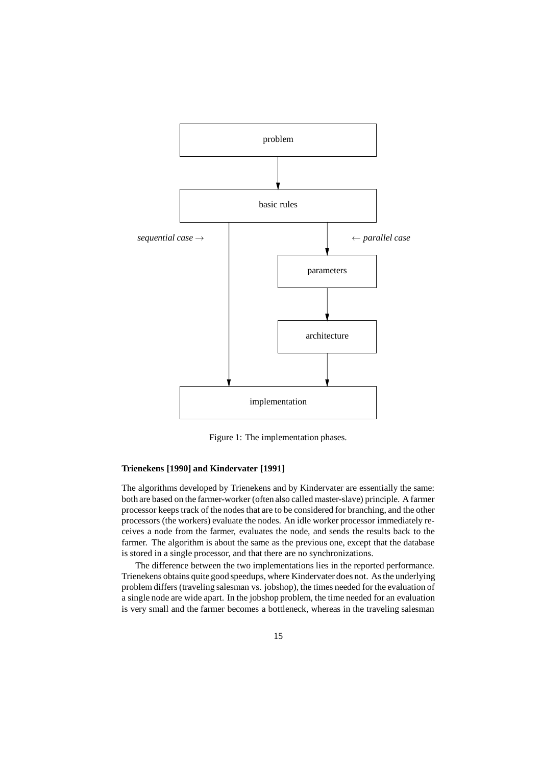

Figure 1: The implementation phases.

#### **Trienekens [1990] and Kindervater [1991]**

The algorithms developed by Trienekens and by Kindervater are essentially the same: both are based on the farmer-worker (often also called master-slave) principle. A farmer processor keeps track of the nodes that are to be considered for branching, and the other processors (the workers) evaluate the nodes. An idle worker processor immediately receives a node from the farmer, evaluates the node, and sends the results back to the farmer. The algorithm is about the same as the previous one, except that the database is stored in a single processor, and that there are no synchronizations.

The difference between the two implementations lies in the reported performance. Trienekens obtains quite good speedups, where Kindervater does not. As the underlying problem differs (traveling salesman vs. jobshop), the times needed for the evaluation of a single node are wide apart. In the jobshop problem, the time needed for an evaluation is very small and the farmer becomes a bottleneck, whereas in the traveling salesman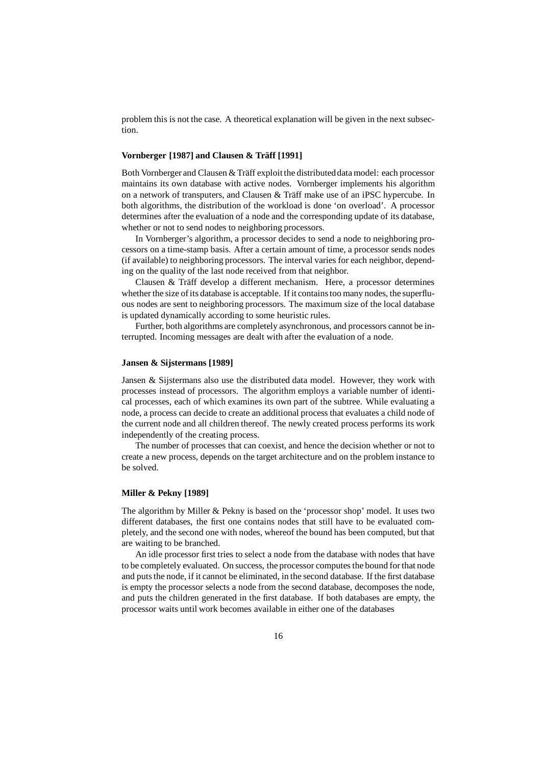problem this is not the case. A theoretical explanation will be given in the next subsection.

#### **Vornberger [1987] and Clausen & Träff [1991]**

Both Vornberger and Clausen & Träff exploit the distributed data model: each processor maintains its own database with active nodes. Vornberger implements his algorithm on a network of transputers, and Clausen & Träff make use of an iPSC hypercube. In both algorithms, the distribution of the workload is done 'on overload'. A processor determines after the evaluation of a node and the corresponding update of its database, whether or not to send nodes to neighboring processors.

In Vornberger's algorithm, a processor decides to send a node to neighboring processors on a time-stamp basis. After a certain amount of time, a processor sends nodes (if available) to neighboring processors. The interval varies for each neighbor, depending on the quality of the last node received from that neighbor.

Clausen & Träff develop a different mechanism. Here, a processor determines whether the size of its database is acceptable. If it contains too many nodes, the superfluous nodes are sent to neighboring processors. The maximum size of the local database is updated dynamically according to some heuristic rules.

Further, both algorithms are completely asynchronous, and processors cannot be interrupted. Incoming messages are dealt with after the evaluation of a node.

#### **Jansen & Sijstermans [1989]**

Jansen & Sijstermans also use the distributed data model. However, they work with processes instead of processors. The algorithm employs a variable number of identical processes, each of which examines its own part of the subtree. While evaluating a node, a process can decide to create an additional process that evaluates a child node of the current node and all children thereof. The newly created process performs its work independently of the creating process.

The number of processes that can coexist, and hence the decision whether or not to create a new process, depends on the target architecture and on the problem instance to be solved.

#### **Miller & Pekny [1989]**

The algorithm by Miller & Pekny is based on the 'processor shop' model. It uses two different databases, the first one contains nodes that still have to be evaluated completely, and the second one with nodes, whereof the bound has been computed, but that are waiting to be branched.

An idle processor first tries to select a node from the database with nodes that have to be completely evaluated. On success, the processor computes the bound for that node and puts the node, if it cannot be eliminated, in the second database. If the first database is empty the processor selects a node from the second database, decomposes the node, and puts the children generated in the first database. If both databases are empty, the processor waits until work becomes available in either one of the databases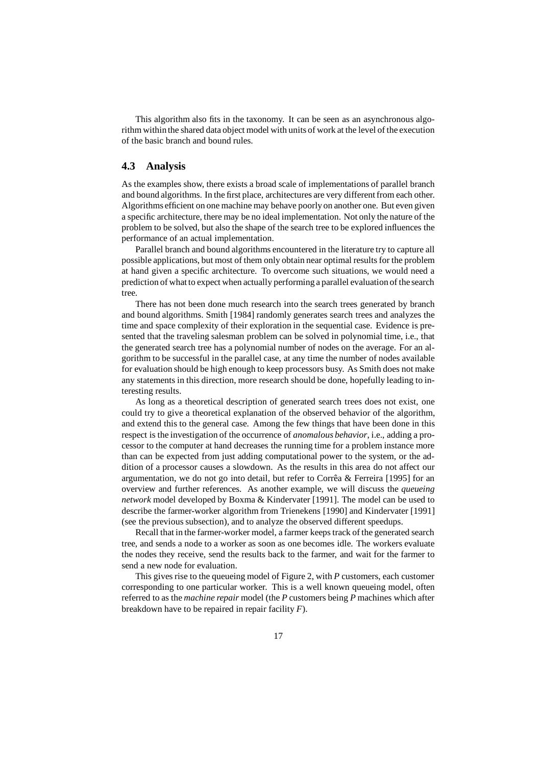This algorithm also fits in the taxonomy. It can be seen as an asynchronous algorithm withinthe shared data object model with units of work at the level of the execution of the basic branch and bound rules.

#### **4.3 Analysis**

As the examples show, there exists a broad scale of implementations of parallel branch and bound algorithms. In the first place, architectures are very different from each other. Algorithms efficient on one machine may behave poorlyon another one. But even given a specific architecture, there may be no ideal implementation. Not only the nature of the problem to be solved, but also the shape of the search tree to be explored influences the performance of an actual implementation.

Parallel branch and bound algorithms encountered in the literature try to capture all possible applications, but most of them only obtain near optimal results for the problem at hand given a specific architecture. To overcome such situations, we would need a prediction of what to expect when actually performing a parallel evaluation of the search tree.

There has not been done much research into the search trees generated by branch and bound algorithms. Smith [1984] randomly generates search trees and analyzes the time and space complexity of their exploration in the sequential case. Evidence is presented that the traveling salesman problem can be solved in polynomial time, i.e., that the generated search tree has a polynomial number of nodes on the average. For an algorithm to be successful in the parallel case, at any time the number of nodes available for evaluation should be high enough to keep processors busy. As Smith does not make any statements in this direction, more research should be done, hopefully leading to interesting results.

As long as a theoretical description of generated search trees does not exist, one could try to give a theoretical explanation of the observed behavior of the algorithm, and extend this to the general case. Among the few things that have been done in this respect is the investigation of the occurrence of *anomalous behavior*, i.e., adding a processor to the computer at hand decreases the running time for a problem instance more than can be expected from just adding computational power to the system, or the addition of a processor causes a slowdown. As the results in this area do not affect our argumentation, we do not go into detail, but refer to Corrêa & Ferreira [1995] for an overview and further references. As another example, we will discuss the *queueing network* model developed by Boxma & Kindervater [1991]. The model can be used to describe the farmer-worker algorithm from Trienekens [1990] and Kindervater [1991] (see the previous subsection), and to analyze the observed different speedups.

Recall that in the farmer-worker model, a farmer keeps track of the generated search tree, and sends a node to a worker as soon as one becomes idle. The workers evaluate the nodes they receive, send the results back to the farmer, and wait for the farmer to send a new node for evaluation.

This gives rise to the queueing model of Figure 2, with *P* customers, each customer corresponding to one particular worker. This is a well known queueing model, often referred to as the *machine repair* model (the *P* customers being *P* machines which after breakdown have to be repaired in repair facility *F*).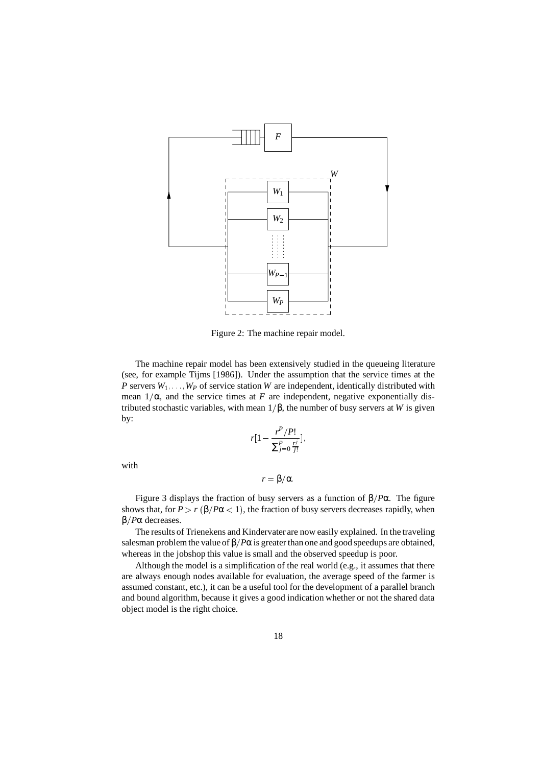

Figure 2: The machine repair model.

The machine repair model has been extensively studied in the queueing literature (see, for example Tijms [1986]). Under the assumption that the service times at the *P* servers  $W_1, \ldots, W_p$  of service station *W* are independent, identically distributed with mean  $1/\alpha$ , and the service times at *F* are independent, negative exponentially distributed stochastic variables, with mean  $1/\beta$ , the number of busy servers at *W* is given by:

$$
r[1-\frac{r^P/P!}{\sum_{j=0}^P \frac{r^j}{j!}}],
$$

 $r = \beta/\alpha$ .

Figure 3 displays the fraction of busy servers as a function of  $\beta/P\alpha$ . The figure shows that, for  $P > r$  ( $\beta / P\alpha < 1$ ), the fraction of busy servers decreases rapidly, when  $β$ *P*α decreases.

The results of Trienekens and Kindervater are now easily explained. In the traveling salesman problem the value of  $\beta/P\alpha$  is greater than one and good speedups are obtained, whereas in the jobshop this value is small and the observed speedup is poor.

Although the model is a simplification of the real world (e.g., it assumes that there are always enough nodes available for evaluation, the average speed of the farmer is assumed constant, etc.), it can be a useful tool for the development of a parallel branch and bound algorithm, because it gives a good indication whether or not the shared data object model is the right choice.

with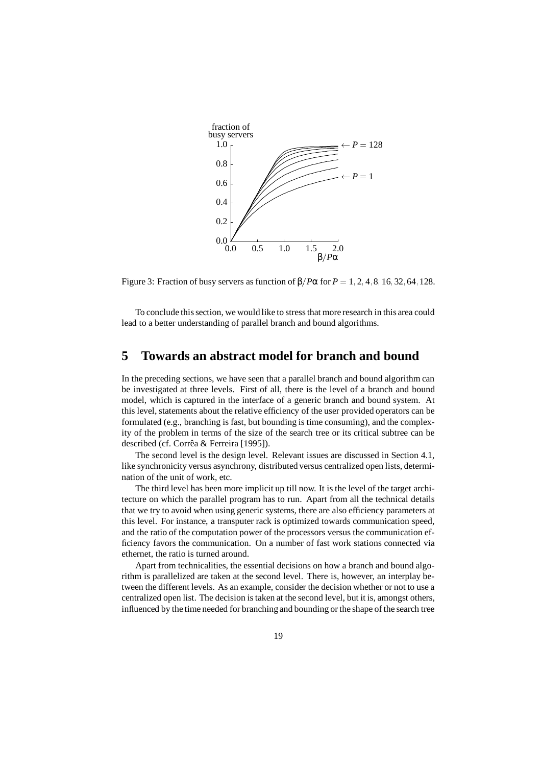

Figure 3: Fraction of busy servers as function of  $\beta/P\alpha$  for  $P = 1, 2, 4, 8, 16, 32, 64, 128$ .

To conclude this section, we would like to stress that more research in this area could lead to a better understanding of parallel branch and bound algorithms.

## **5 Towards an abstract model for branch and bound**

In the preceding sections, we have seen that a parallel branch and bound algorithm can be investigated at three levels. First of all, there is the level of a branch and bound model, which is captured in the interface of a generic branch and bound system. At this level, statements about the relative efficiency of the user provided operators can be formulated (e.g., branching is fast, but bounding is time consuming), and the complexity of the problem in terms of the size of the search tree or its critical subtree can be described (cf. Corrêa & Ferreira [1995]).

The second level is the design level. Relevant issues are discussed in Section 4.1, like synchronicity versus asynchrony, distributed versus centralized open lists, determination of the unit of work, etc.

The third level has been more implicit up till now. It is the level of the target architecture on which the parallel program has to run. Apart from all the technical details that we try to avoid when using generic systems, there are also efficiency parameters at this level. For instance, a transputer rack is optimized towards communication speed, and the ratio of the computation power of the processors versus the communication efficiency favors the communication. On a number of fast work stations connected via ethernet, the ratio is turned around.

Apart from technicalities, the essential decisions on how a branch and bound algorithm is parallelized are taken at the second level. There is, however, an interplay between the different levels. As an example, consider the decision whether or not to use a centralized open list. The decision is taken at the second level, but it is, amongst others, influenced by the time needed for branching and bounding or the shape of the search tree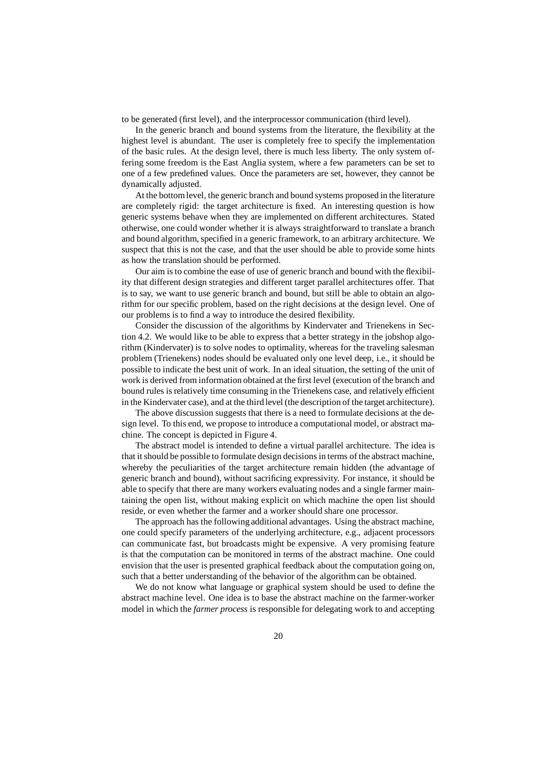to be generated (first level), and the interprocessor communication (third level).

In the generic branch and bound systems from the literature, the flexibility at the highest level is abundant. The user is completely free to specify the implementation of the basic rules. At the design level, there is much less liberty. The only system offering some freedom is the East Anglia system, where a few parameters can be set to one of a few predefined values. Once the parameters are set, however, they cannot be dynamically adjusted.

At the bottom level, the generic branch and bound systems proposed in the literature are completely rigid: the target architecture is fixed. An interesting question is how generic systems behave when they are implemented on different architectures. Stated otherwise, one could wonder whether it is always straightforward to translate a branch and bound algorithm, specified in a generic framework, to an arbitrary architecture. We suspect that this is not the case, and that the user should be able to provide some hints as how the translation should be performed.

Our aim is to combine the ease of use of generic branch and bound with the flexibility that different design strategies and different target parallel architectures offer. That is to say, we want to use generic branch and bound, but still be able to obtain an algorithm for our specific problem, based on the right decisions at the design level. One of our problems is to find a way to introduce the desired flexibility.

Consider the discussion of the algorithms by Kindervater and Trienekens in Section 4.2. We would like to be able to express that a better strategy in the jobshop algorithm (Kindervater) is to solve nodes to optimality, whereas for the traveling salesman problem (Trienekens) nodes should be evaluated only one level deep, i.e., it should be possible to indicate the best unit of work. In an ideal situation, the setting of the unit of work is derived from information obtained at the first level (execution of the branch and bound rules is relatively time consuming in the Trienekens case, and relatively efficient in the Kindervater case), and at the third level (the description of the target architecture).

The above discussion suggests that there is a need to formulate decisions at the design level. To this end, we propose to introduce a computational model, or abstract machine. The concept is depicted in Figure 4.

The abstract model is intended to define a virtual parallel architecture. The idea is that it should be possible to formulate design decisions in terms of the abstract machine, whereby the peculiarities of the target architecture remain hidden (the advantage of generic branch and bound), without sacrificing expressivity. For instance, it should be able to specify that there are many workers evaluating nodes and a single farmer maintaining the open list, without making explicit on which machine the open list should reside, or even whether the farmer and a worker should share one processor.

The approach has the following additional advantages. Using the abstract machine, one could specify parameters of the underlying architecture, e.g., adjacent processors can communicate fast, but broadcasts might be expensive. A very promising feature is that the computation can be monitored in terms of the abstract machine. One could envision that the user is presented graphical feedback about the computation going on, such that a better understanding of the behavior of the algorithm can be obtained.

We do not know what language or graphical system should be used to define the abstract machine level. One idea is to base the abstract machine on the farmer-worker model in which the *farmer process* is responsible for delegating work to and accepting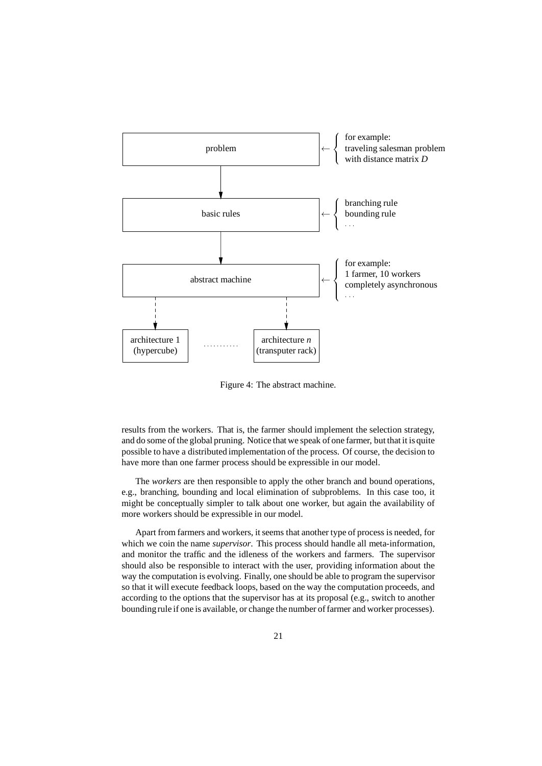

Figure 4: The abstract machine.

results from the workers. That is, the farmer should implement the selection strategy, and do some of the global pruning. Notice that we speak of one farmer, but that it is quite possible to have a distributed implementation of the process. Of course, the decision to have more than one farmer process should be expressible in our model.

The *workers* are then responsible to apply the other branch and bound operations, e.g., branching, bounding and local elimination of subproblems. In this case too, it might be conceptually simpler to talk about one worker, but again the availability of more workers should be expressible in our model.

Apart from farmers and workers, it seems that another type of process is needed, for which we coin the name *supervisor*. This process should handle all meta-information, and monitor the traffic and the idleness of the workers and farmers. The supervisor should also be responsible to interact with the user, providing information about the way the computation is evolving. Finally, one should be able to program the supervisor so that it will execute feedback loops, based on the way the computation proceeds, and according to the options that the supervisor has at its proposal (e.g., switch to another boundingrule if one is available, or change the number of farmer and worker processes).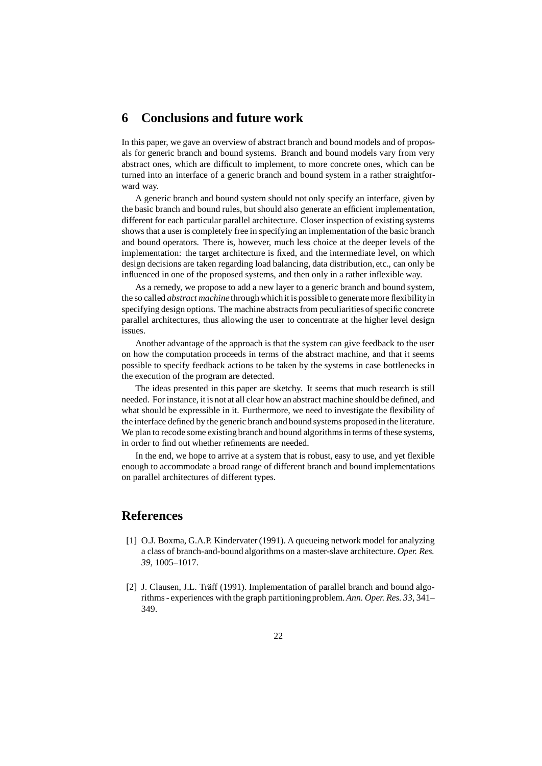# **6 Conclusions and future work**

In this paper, we gave an overview of abstract branch and bound models and of proposals for generic branch and bound systems. Branch and bound models vary from very abstract ones, which are difficult to implement, to more concrete ones, which can be turned into an interface of a generic branch and bound system in a rather straightforward way.

A generic branch and bound system should not only specify an interface, given by the basic branch and bound rules, but should also generate an efficient implementation, different for each particular parallel architecture. Closer inspection of existing systems shows that a user is completely free in specifying an implementation of the basic branch and bound operators. There is, however, much less choice at the deeper levels of the implementation: the target architecture is fixed, and the intermediate level, on which design decisions are taken regarding load balancing, data distribution, etc., can only be influenced in one of the proposed systems, and then only in a rather inflexible way.

As a remedy, we propose to add a new layer to a generic branch and bound system, the so called *abstract machine* through which it is possible to generate more flexibilityin specifying design options. The machine abstracts from peculiarities of specific concrete parallel architectures, thus allowing the user to concentrate at the higher level design issues.

Another advantage of the approach is that the system can give feedback to the user on how the computation proceeds in terms of the abstract machine, and that it seems possible to specify feedback actions to be taken by the systems in case bottlenecks in the execution of the program are detected.

The ideas presented in this paper are sketchy. It seems that much research is still needed. For instance, it is not at all clear how an abstract machine should be defined, and what should be expressible in it. Furthermore, we need to investigate the flexibility of the interface defined by the generic branch and bound systems proposed in the literature. We plan to recode some existing branch and bound algorithms in terms of these systems, in order to find out whether refinements are needed.

In the end, we hope to arrive at a system that is robust, easy to use, and yet flexible enough to accommodate a broad range of different branch and bound implementations on parallel architectures of different types.

# **References**

- [1] O.J. Boxma, G.A.P. Kindervater (1991). A queueing network model for analyzing a class of branch-and-bound algorithms on a master-slave architecture. *Oper. Res. 39*, 1005–1017.
- [2] J. Clausen, J.L. Träff (1991). Implementation of parallel branch and bound algorithms - experiences with the graph partitioningproblem. *Ann. Oper. Res. 33*, 341– 349.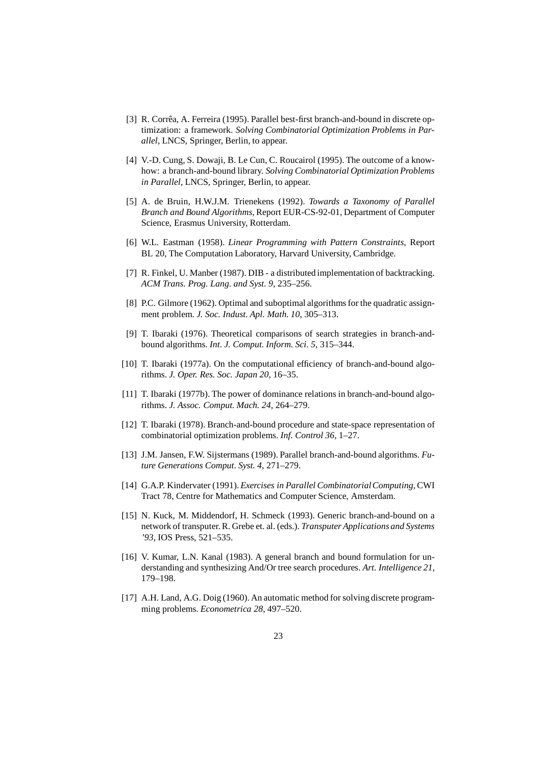- [3] R. Corrêa, A. Ferreira (1995). Parallel best-first branch-and-bound in discrete optimization: a framework. *Solving Combinatorial Optimization Problems in Parallel*, LNCS, Springer, Berlin, to appear.
- [4] V.-D. Cung, S. Dowaji, B. Le Cun, C. Roucairol (1995). The outcome of a knowhow: a branch-and-bound library. *Solving Combinatorial Optimization Problems in Parallel*, LNCS, Springer, Berlin, to appear.
- [5] A. de Bruin, H.W.J.M. Trienekens (1992). *Towards a Taxonomy of Parallel Branch and Bound Algorithms*, Report EUR-CS-92-01, Department of Computer Science, Erasmus University, Rotterdam.
- [6] W.L. Eastman (1958). *Linear Programming with Pattern Constraints*, Report BL 20, The Computation Laboratory, Harvard University, Cambridge.
- [7] R. Finkel, U. Manber (1987). DIB a distributed implementation of backtracking. *ACM Trans. Prog. Lang. and Syst. 9*, 235–256.
- [8] P.C. Gilmore (1962). Optimal and suboptimal algorithms for the quadratic assignment problem. *J. Soc. Indust. Apl. Math. 10*, 305–313.
- [9] T. Ibaraki (1976). Theoretical comparisons of search strategies in branch-andbound algorithms. *Int. J. Comput. Inform. Sci. 5*, 315–344.
- [10] T. Ibaraki (1977a). On the computational efficiency of branch-and-bound algorithms. *J. Oper. Res. Soc. Japan 20*, 16–35.
- [11] T. Ibaraki (1977b). The power of dominance relations in branch-and-bound algorithms. *J. Assoc. Comput. Mach. 24*, 264–279.
- [12] T. Ibaraki (1978). Branch-and-bound procedure and state-space representation of combinatorial optimization problems. *Inf. Control 36*, 1–27.
- [13] J.M. Jansen, F.W. Sijstermans (1989). Parallel branch-and-bound algorithms. *Future Generations Comput. Syst. 4*, 271–279.
- [14] G.A.P. Kindervater (1991). *Exercises in Parallel Combinatorial Computing*, CWI Tract 78, Centre for Mathematics and Computer Science, Amsterdam.
- [15] N. Kuck, M. Middendorf, H. Schmeck (1993). Generic branch-and-bound on a network of transputer. R. Grebe et. al. (eds.). *Transputer Applications and Systems '93*, IOS Press, 521–535.
- [16] V. Kumar, L.N. Kanal (1983). A general branch and bound formulation for understanding and synthesizing And/Or tree search procedures. *Art. Intelligence 21*, 179–198.
- [17] A.H. Land, A.G. Doig (1960). An automatic method for solving discrete programming problems. *Econometrica 28*, 497–520.